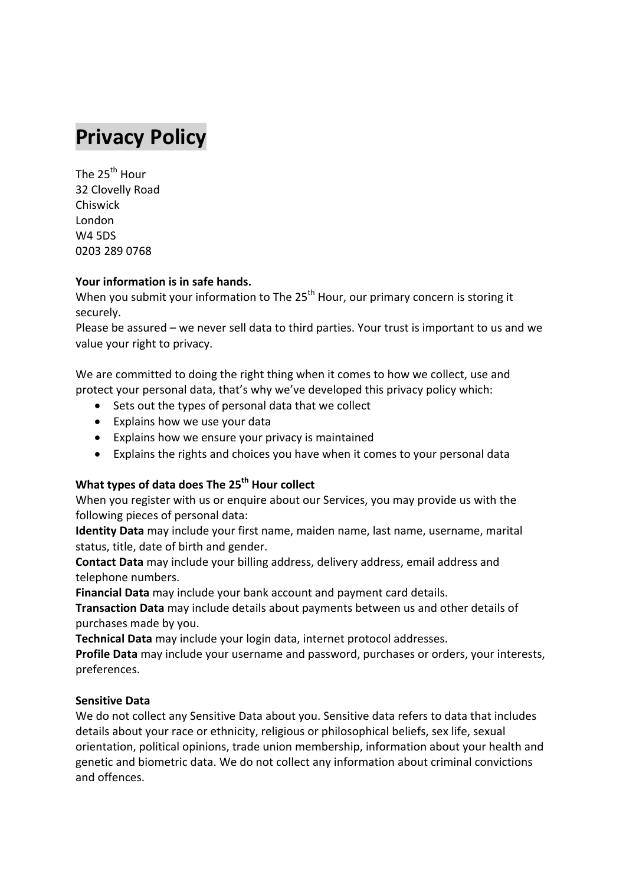# **Privacy Policy**

The 25<sup>th</sup> Hour 32 Clovelly Road Chiswick London W4 5DS 0203 289 0768

### **Your information is in safe hands.**

When you submit your information to The  $25<sup>th</sup>$  Hour, our primary concern is storing it securely.

Please be assured – we never sell data to third parties. Your trust is important to us and we value your right to privacy.

We are committed to doing the right thing when it comes to how we collect, use and protect your personal data, that's why we've developed this privacy policy which:

- Sets out the types of personal data that we collect
- Explains how we use your data
- Explains how we ensure your privacy is maintained
- Explains the rights and choices you have when it comes to your personal data

### **What types of data does The 25<sup>th</sup> Hour collect**

When you register with us or enquire about our Services, you may provide us with the following pieces of personal data:

**Identity Data** may include your first name, maiden name, last name, username, marital status, title, date of birth and gender.

**Contact Data** may include your billing address, delivery address, email address and telephone numbers.

**Financial Data** may include your bank account and payment card details.

**Transaction Data** may include details about payments between us and other details of purchases made by you.

**Technical Data** may include your login data, internet protocol addresses.

**Profile Data** may include your username and password, purchases or orders, your interests, preferences.

### **Sensitive Data**

We do not collect any Sensitive Data about you. Sensitive data refers to data that includes details about your race or ethnicity, religious or philosophical beliefs, sex life, sexual orientation, political opinions, trade union membership, information about your health and genetic and biometric data. We do not collect any information about criminal convictions and offences.